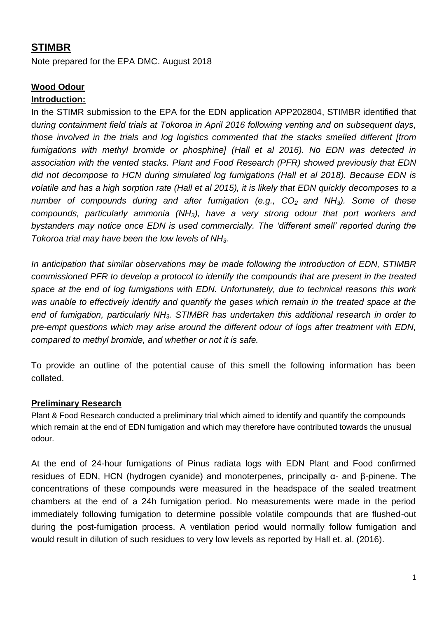# **STIMBR**

Note prepared for the EPA DMC. August 2018

# **Wood Odour**

#### **Introduction:**

In the STIMR submission to the EPA for the EDN application APP202804, STIMBR identified that d*uring containment field trials at Tokoroa in April 2016 following venting and on subsequent days, those involved in the trials and log logistics commented that the stacks smelled different [from fumigations with methyl bromide or phosphine] (Hall et al 2016). No EDN was detected in association with the vented stacks. Plant and Food Research (PFR) showed previously that EDN did not decompose to HCN during simulated log fumigations (Hall et al 2018). Because EDN is volatile and has a high sorption rate (Hall et al 2015), it is likely that EDN quickly decomposes to a number of compounds during and after fumigation (e.g., CO2 and NH3). Some of these compounds, particularly ammonia (NH3), have a very strong odour that port workers and bystanders may notice once EDN is used commercially. The 'different smell' reported during the Tokoroa trial may have been the low levels of NH3.* 

*In anticipation that similar observations may be made following the introduction of EDN, STIMBR commissioned PFR to develop a protocol to identify the compounds that are present in the treated space at the end of log fumigations with EDN. Unfortunately, due to technical reasons this work was unable to effectively identify and quantify the gases which remain in the treated space at the end of fumigation, particularly NH3. STIMBR has undertaken this additional research in order to pre-empt questions which may arise around the different odour of logs after treatment with EDN, compared to methyl bromide, and whether or not it is safe.*

To provide an outline of the potential cause of this smell the following information has been collated.

#### **Preliminary Research**

Plant & Food Research conducted a preliminary trial which aimed to identify and quantify the compounds which remain at the end of EDN fumigation and which may therefore have contributed towards the unusual odour.

At the end of 24-hour fumigations of Pinus radiata logs with EDN Plant and Food confirmed residues of EDN, HCN (hydrogen cyanide) and monoterpenes, principally α- and β-pinene. The concentrations of these compounds were measured in the headspace of the sealed treatment chambers at the end of a 24h fumigation period. No measurements were made in the period immediately following fumigation to determine possible volatile compounds that are flushed-out during the post-fumigation process. A ventilation period would normally follow fumigation and would result in dilution of such residues to very low levels as reported by Hall et. al. (2016).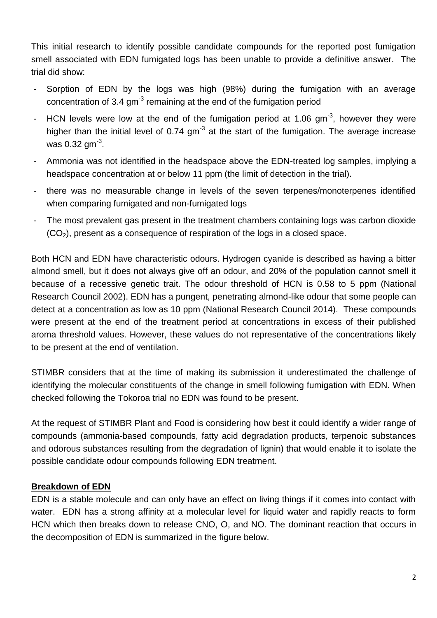This initial research to identify possible candidate compounds for the reported post fumigation smell associated with EDN fumigated logs has been unable to provide a definitive answer. The trial did show:

- Sorption of EDN by the logs was high (98%) during the fumigation with an average concentration of 3.4  $gm^{-3}$  remaining at the end of the fumigation period
- HCN levels were low at the end of the fumigation period at 1.06 gm<sup>-3</sup>, however they were higher than the initial level of 0.74 gm<sup>-3</sup> at the start of the fumigation. The average increase was 0.32 gm $^{\text{-3}}$ .
- Ammonia was not identified in the headspace above the EDN-treated log samples, implying a headspace concentration at or below 11 ppm (the limit of detection in the trial).
- there was no measurable change in levels of the seven terpenes/monoterpenes identified when comparing fumigated and non-fumigated logs
- The most prevalent gas present in the treatment chambers containing logs was carbon dioxide  $(CO<sub>2</sub>)$ , present as a consequence of respiration of the logs in a closed space.

Both HCN and EDN have characteristic odours. Hydrogen cyanide is described as having a bitter almond smell, but it does not always give off an odour, and 20% of the population cannot smell it because of a recessive genetic trait. The odour threshold of HCN is 0.58 to 5 ppm (National Research Council 2002). EDN has a pungent, penetrating almond-like odour that some people can detect at a concentration as low as 10 ppm (National Research Council 2014). These compounds were present at the end of the treatment period at concentrations in excess of their published aroma threshold values. However, these values do not representative of the concentrations likely to be present at the end of ventilation.

STIMBR considers that at the time of making its submission it underestimated the challenge of identifying the molecular constituents of the change in smell following fumigation with EDN. When checked following the Tokoroa trial no EDN was found to be present.

At the request of STIMBR Plant and Food is considering how best it could identify a wider range of compounds (ammonia-based compounds, fatty acid degradation products, terpenoic substances and odorous substances resulting from the degradation of lignin) that would enable it to isolate the possible candidate odour compounds following EDN treatment.

# **Breakdown of EDN**

EDN is a stable molecule and can only have an effect on living things if it comes into contact with water. EDN has a strong affinity at a molecular level for liquid water and rapidly reacts to form HCN which then breaks down to release CNO, O, and NO. The dominant reaction that occurs in the decomposition of EDN is summarized in the figure below.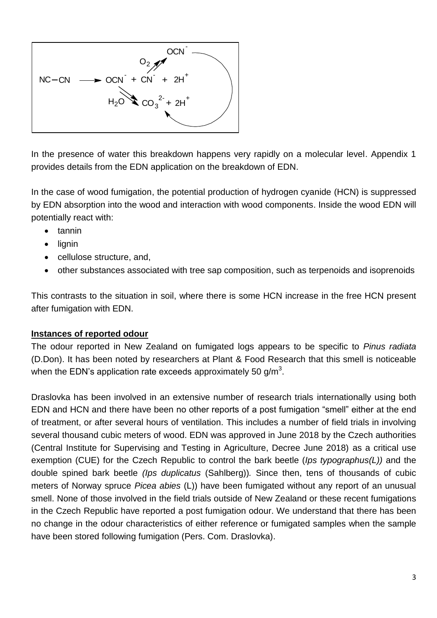

In the presence of water this breakdown happens very rapidly on a molecular level. Appendix 1 provides details from the EDN application on the breakdown of EDN.

In the case of wood fumigation, the potential production of hydrogen cyanide (HCN) is suppressed by EDN absorption into the wood and interaction with wood components. Inside the wood EDN will potentially react with:

- $\bullet$  tannin
- lignin
- cellulose structure, and,
- other substances associated with tree sap composition, such as terpenoids and isoprenoids

This contrasts to the situation in soil, where there is some HCN increase in the free HCN present after fumigation with EDN.

#### **Instances of reported odour**

The odour reported in New Zealand on fumigated logs appears to be specific to *Pinus radiata* (D.Don). It has been noted by researchers at Plant & Food Research that this smell is noticeable when the EDN's application rate exceeds approximately 50 g/m $^3\!$ .

Draslovka has been involved in an extensive number of research trials internationally using both EDN and HCN and there have been no other reports of a post fumigation "smell" either at the end of treatment, or after several hours of ventilation. This includes a number of field trials in involving several thousand cubic meters of wood. EDN was approved in June 2018 by the Czech authorities (Central Institute for Supervising and Testing in Agriculture, Decree June 2018) as a critical use exemption (CUE) for the Czech Republic to control the bark beetle (*Ips typographus(L))* and the double spined bark beetle *(Ips duplicatus* (Sahlberg))*.* Since then, tens of thousands of cubic meters of Norway spruce *Picea abies* (L)) have been fumigated without any report of an unusual smell. None of those involved in the field trials outside of New Zealand or these recent fumigations in the Czech Republic have reported a post fumigation odour. We understand that there has been no change in the odour characteristics of either reference or fumigated samples when the sample have been stored following fumigation (Pers. Com. Draslovka).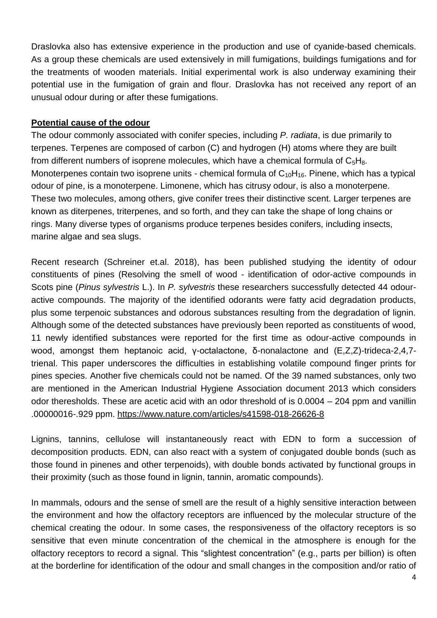Draslovka also has extensive experience in the production and use of cyanide-based chemicals. As a group these chemicals are used extensively in mill fumigations, buildings fumigations and for the treatments of wooden materials. Initial experimental work is also underway examining their potential use in the fumigation of grain and flour. Draslovka has not received any report of an unusual odour during or after these fumigations.

#### **Potential cause of the odour**

The odour commonly associated with conifer species, including *P. radiata*, is due primarily to terpenes. Terpenes are composed of carbon (C) and hydrogen (H) atoms where they are built from different numbers of isoprene molecules, which have a chemical formula of  $C_5H_8$ . Monoterpenes contain two isoprene units - chemical formula of  $C_{10}H_{16}$ . Pinene, which has a typical odour of pine, is a monoterpene. Limonene, which has citrusy odour, is also a monoterpene. These two molecules, among others, give conifer trees their distinctive scent. Larger terpenes are known as diterpenes, triterpenes, and so forth, and they can take the shape of long chains or rings. Many diverse types of organisms produce terpenes besides conifers, including insects, marine algae and sea slugs.

Recent research (Schreiner et.al. 2018), has been published studying the identity of odour constituents of pines (Resolving the smell of wood - identification of odor-active compounds in Scots pine (*Pinus sylvestris* L.). In *P. sylvestris* these researchers successfully detected 44 odouractive compounds. The majority of the identified odorants were fatty acid degradation products, plus some terpenoic substances and odorous substances resulting from the degradation of lignin. Although some of the detected substances have previously been reported as constituents of wood, 11 newly identified substances were reported for the first time as odour-active compounds in wood, amongst them heptanoic acid, γ-octalactone, δ-nonalactone and (E,Z,Z)-trideca-2,4,7 trienal. This paper underscores the difficulties in establishing volatile compound finger prints for pines species. Another five chemicals could not be named. Of the 39 named substances, only two are mentioned in the American Industrial Hygiene Association document 2013 which considers odor theresholds. These are acetic acid with an odor threshold of is 0.0004 – 204 ppm and vanillin .00000016-.929 ppm. https://www.nature.com/articles/s41598-018-26626-8

Lignins, tannins, cellulose will instantaneously react with EDN to form a succession of decomposition products. EDN, can also react with a system of conjugated double bonds (such as those found in pinenes and other terpenoids), with double bonds activated by functional groups in their proximity (such as those found in lignin, tannin, aromatic compounds).

In mammals, odours and the sense of smell are the result of a highly sensitive interaction between the environment and how the olfactory receptors are influenced by the molecular structure of the chemical creating the odour. In some cases, the responsiveness of the olfactory receptors is so sensitive that even minute concentration of the chemical in the atmosphere is enough for the olfactory receptors to record a signal. This "slightest concentration" (e.g., parts per billion) is often at the borderline for identification of the odour and small changes in the composition and/or ratio of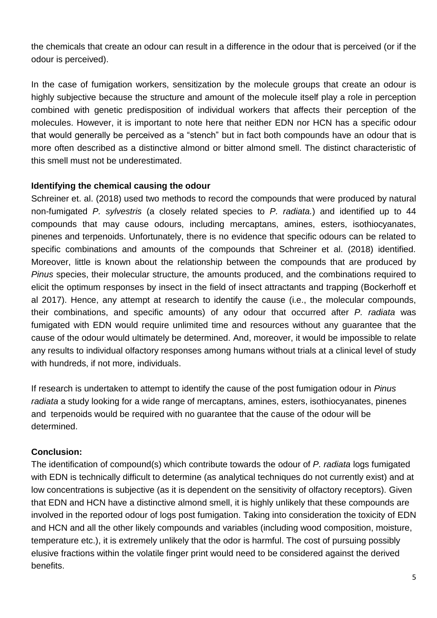the chemicals that create an odour can result in a difference in the odour that is perceived (or if the odour is perceived).

In the case of fumigation workers, sensitization by the molecule groups that create an odour is highly subjective because the structure and amount of the molecule itself play a role in perception combined with genetic predisposition of individual workers that affects their perception of the molecules. However, it is important to note here that neither EDN nor HCN has a specific odour that would generally be perceived as a "stench" but in fact both compounds have an odour that is more often described as a distinctive almond or bitter almond smell. The distinct characteristic of this smell must not be underestimated.

#### **Identifying the chemical causing the odour**

Schreiner et. al. (2018) used two methods to record the compounds that were produced by natural non-fumigated *P. sylvestris* (a closely related species to *P. radiata.*) and identified up to 44 compounds that may cause odours, including mercaptans, amines, esters, isothiocyanates, pinenes and terpenoids. Unfortunately, there is no evidence that specific odours can be related to specific combinations and amounts of the compounds that Schreiner et al. (2018) identified. Moreover, little is known about the relationship between the compounds that are produced by *Pinus* species, their molecular structure, the amounts produced, and the combinations required to elicit the optimum responses by insect in the field of insect attractants and trapping (Bockerhoff et al 2017). Hence, any attempt at research to identify the cause (i.e., the molecular compounds, their combinations, and specific amounts) of any odour that occurred after *P. radiata* was fumigated with EDN would require unlimited time and resources without any guarantee that the cause of the odour would ultimately be determined. And, moreover, it would be impossible to relate any results to individual olfactory responses among humans without trials at a clinical level of study with hundreds, if not more, individuals.

If research is undertaken to attempt to identify the cause of the post fumigation odour in *Pinus radiata* a study looking for a wide range of mercaptans, amines, esters, isothiocyanates, pinenes and terpenoids would be required with no guarantee that the cause of the odour will be determined.

# **Conclusion:**

The identification of compound(s) which contribute towards the odour of *P. radiata* logs fumigated with EDN is technically difficult to determine (as analytical techniques do not currently exist) and at low concentrations is subjective (as it is dependent on the sensitivity of olfactory receptors). Given that EDN and HCN have a distinctive almond smell, it is highly unlikely that these compounds are involved in the reported odour of logs post fumigation. Taking into consideration the toxicity of EDN and HCN and all the other likely compounds and variables (including wood composition, moisture, temperature etc.), it is extremely unlikely that the odor is harmful. The cost of pursuing possibly elusive fractions within the volatile finger print would need to be considered against the derived benefits.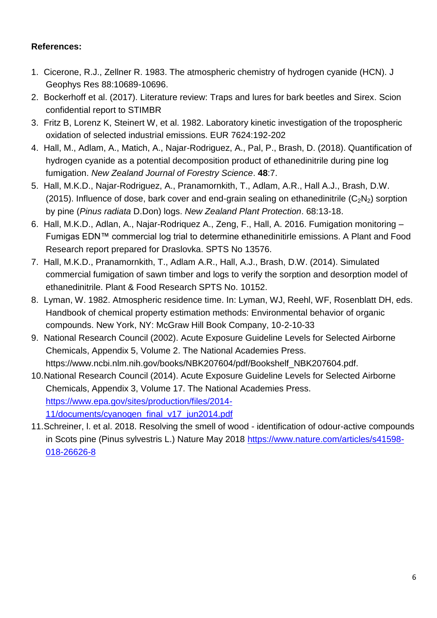# **References:**

- 1. Cicerone, R.J., Zellner R. 1983. The atmospheric chemistry of hydrogen cyanide (HCN). J Geophys Res 88:10689-10696.
- 2. Bockerhoff et al. (2017). Literature review: Traps and lures for bark beetles and Sirex. Scion confidential report to STIMBR
- 3. Fritz B, Lorenz K, Steinert W, et al. 1982. Laboratory kinetic investigation of the tropospheric oxidation of selected industrial emissions. EUR 7624:192-202
- 4. Hall, M., Adlam, A., Matich, A., Najar-Rodriguez, A., Pal, P., Brash, D. (2018). Quantification of hydrogen cyanide as a potential decomposition product of ethanedinitrile during pine log fumigation. *New Zealand Journal of Forestry Science*. **48**:7.
- 5. Hall, M.K.D., Najar-Rodriguez, A., Pranamornkith, T., Adlam, A.R., Hall A.J., Brash, D.W. (2015). Influence of dose, bark cover and end-grain sealing on ethanedinitrile  $(C_2N_2)$  sorption by pine (*Pinus radiata* D.Don) logs. *New Zealand Plant Protection*. 68:13-18.
- 6. Hall, M.K.D., Adlan, A., Najar-Rodriquez A., Zeng, F., Hall, A. 2016. Fumigation monitoring Fumigas EDN™ commercial log trial to determine ethanedinitirle emissions. A Plant and Food Research report prepared for Draslovka. SPTS No 13576.
- 7. Hall, M.K.D., Pranamornkith, T., Adlam A.R., Hall, A.J., Brash, D.W. (2014). Simulated commercial fumigation of sawn timber and logs to verify the sorption and desorption model of ethanedinitrile. Plant & Food Research SPTS No. 10152.
- 8. Lyman, W. 1982. Atmospheric residence time. In: Lyman, WJ, Reehl, WF, Rosenblatt DH, eds. Handbook of chemical property estimation methods: Environmental behavior of organic compounds. New York, NY: McGraw Hill Book Company, 10-2-10-33
- 9. National Research Council (2002). Acute Exposure Guideline Levels for Selected Airborne Chemicals, Appendix 5, Volume 2. The National Academies Press. https://www.ncbi.nlm.nih.gov/books/NBK207604/pdf/Bookshelf\_NBK207604.pdf.
- 10.National Research Council (2014). Acute Exposure Guideline Levels for Selected Airborne Chemicals, Appendix 3, Volume 17. The National Academies Press. [https://www.epa.gov/sites/production/files/2014-](https://www.epa.gov/sites/production/files/2014-11/documents/cyanogen_final_v17_jun2014.pdf) [11/documents/cyanogen\\_final\\_v17\\_jun2014.pdf](https://www.epa.gov/sites/production/files/2014-11/documents/cyanogen_final_v17_jun2014.pdf)
- 11.Schreiner, l. et al. 2018. Resolving the smell of wood identification of odour-active compounds in Scots pine (Pinus sylvestris L.) Nature May 2018 [https://www.nature.com/articles/s41598-](https://www.nature.com/articles/s41598-018-26626-8) [018-26626-8](https://www.nature.com/articles/s41598-018-26626-8)